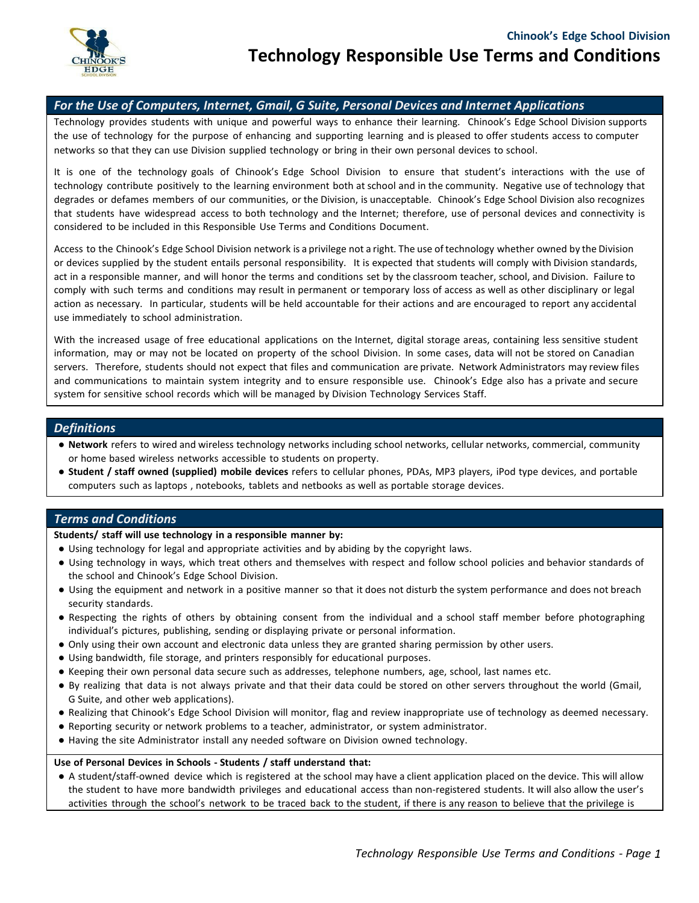

# *For the Use of Computers, Internet, Gmail, G Suite, Personal Devices and Internet Applications*

Technology provides students with unique and powerful ways to enhance their learning. Chinook's Edge School Division supports the use of technology for the purpose of enhancing and supporting learning and is pleased to offer students access to computer networks so that they can use Division supplied technology or bring in their own personal devices to school.

It is one of the technology goals of Chinook's Edge School Division to ensure that student's interactions with the use of technology contribute positively to the learning environment both at school and in the community. Negative use of technology that degrades or defames members of our communities, or the Division, is unacceptable. Chinook's Edge School Division also recognizes that students have widespread access to both technology and the Internet; therefore, use of personal devices and connectivity is considered to be included in this Responsible Use Terms and Conditions Document.

Access to the Chinook's Edge School Division network is a privilege not a right. The use of technology whether owned by the Division or devices supplied by the student entails personal responsibility. It is expected that students will comply with Division standards, act in a responsible manner, and will honor the terms and conditions set by the classroom teacher, school, and Division. Failure to comply with such terms and conditions may result in permanent or temporary loss of access as well as other disciplinary or legal action as necessary. In particular, students will be held accountable for their actions and are encouraged to report any accidental use immediately to school administration.

With the increased usage of free educational applications on the Internet, digital storage areas, containing less sensitive student information, may or may not be located on property of the school Division. In some cases, data will not be stored on Canadian servers. Therefore, students should not expect that files and communication are private. Network Administrators may review files and communications to maintain system integrity and to ensure responsible use. Chinook's Edge also has a private and secure system for sensitive school records which will be managed by Division Technology Services Staff.

## *Definitions*

- **Network** refers to wired and wireless technology networks including school networks, cellular networks, commercial, community or home based wireless networks accessible to students on property.
- **Student / staff owned (supplied) mobile devices** refers to cellular phones, PDAs, MP3 players, iPod type devices, and portable computers such as laptops , notebooks, tablets and netbooks as well as portable storage devices.

# *Terms and Conditions*

### **Students/ staff will use technology in a responsible manner by:**

- Using technology for legal and appropriate activities and by abiding by the copyright laws.
- Using technology in ways, which treat others and themselves with respect and follow school policies and behavior standards of the school and Chinook's Edge School Division.
- Using the equipment and network in a positive manner so that it does not disturb the system performance and does not breach security standards.
- Respecting the rights of others by obtaining consent from the individual and a school staff member before photographing individual's pictures, publishing, sending or displaying private or personal information.
- Only using their own account and electronic data unless they are granted sharing permission by other users.
- Using bandwidth, file storage, and printers responsibly for educational purposes.
- Keeping their own personal data secure such as addresses, telephone numbers, age, school, last names etc.
- By realizing that data is not always private and that their data could be stored on other servers throughout the world (Gmail, G Suite, and other web applications).
- Realizing that Chinook's Edge School Division will monitor, flag and review inappropriate use of technology as deemed necessary.
- Reporting security or network problems to a teacher, administrator, or system administrator.
- Having the site Administrator install any needed software on Division owned technology.

### **Use of Personal Devices in Schools - Students / staff understand that:**

● A student/staff-owned device which is registered at the school may have a client application placed on the device. This will allow the student to have more bandwidth privileges and educational access than non-registered students. It will also allow the user's activities through the school's network to be traced back to the student, if there is any reason to believe that the privilege is